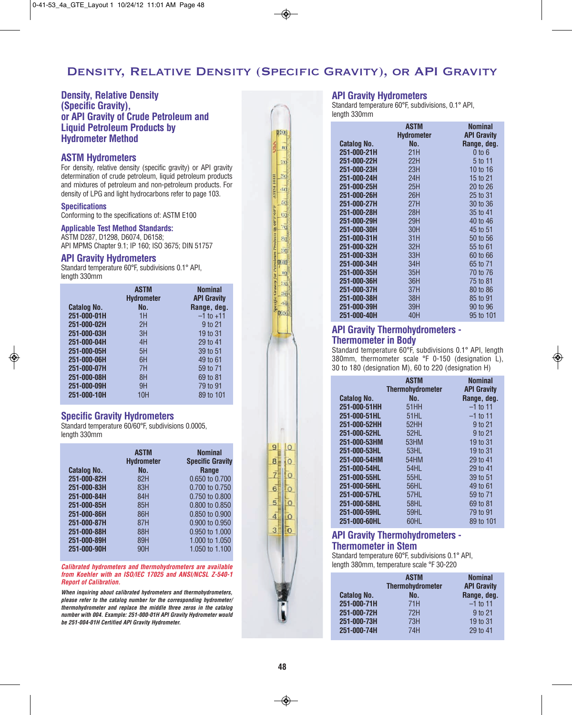# Density, Relative Density (Specific Gravity), or API Gravity

**D500** R 20

 $40$  $50$  $G$  $\overline{d}$  $8<sub>d</sub>$  $\overline{50}$ **DGOO**  $\overrightarrow{10}$ 

# **Density, Relative Density (Specific Gravity), or API Gravity of Crude Petroleum and Liquid Petroleum Products by Hydrometer Method**

### **ASTM Hydrometers**

For density, relative density (specific gravity) or API gravity determination of crude petroleum, liquid petroleum products and mixtures of petroleum and non-petroleum products. For density of LPG and light hydrocarbons refer to page 103.

#### **Specifications**

Conforming to the specifications of: ASTM E100

#### **Applicable Test Method Standards:**

ASTM D287, D1298, D6074, D6158; API MPMS Chapter 9.1; IP 160; ISO 3675; DIN 51757

#### **API Gravity Hydrometers**

Standard temperature 60°F, subdivisions 0.1° API, length 330mm

|                    | <b>ASTM</b><br><b>Hydrometer</b> | <b>Nominal</b><br><b>API Gravity</b> |
|--------------------|----------------------------------|--------------------------------------|
| <b>Catalog No.</b> | No.                              | Range, deg.                          |
| 251-000-01H        | 1H                               | $-1$ to $+11$                        |
| 251-000-02H        | 2H                               | 9 to 21                              |
| 251-000-03H        | 3H                               | 19 to 31                             |
| 251-000-04H        | 4H                               | 29 to 41                             |
| 251-000-05H        | 5H                               | 39 to 51                             |
| 251-000-06H        | 6H                               | 49 to 61                             |
| 251-000-07H        | 7H                               | 59 to 71                             |
| 251-000-08H        | 8H                               | 69 to 81                             |
| 251-000-09H        | 9H                               | 79 to 91                             |
| 251-000-10H        | 10H                              | 89 to 101                            |

#### **Specific Gravity Hydrometers**

Standard temperature 60/60°F, subdivisions 0.0005, length 330mm

|                    | <b>ASTM</b><br><b>Hydrometer</b> | <b>Nominal</b><br><b>Specific Gravity</b> |
|--------------------|----------------------------------|-------------------------------------------|
| <b>Catalog No.</b> | No.                              | <b>Range</b>                              |
| 251-000-82H        | 82H                              | 0.650 to 0.700                            |
| 251-000-83H        | 83H                              | 0.700 to 0.750                            |
| 251-000-84H        | 84H                              | 0.750 to 0.800                            |
| 251-000-85H        | 85H                              | 0.800 to 0.850                            |
| 251-000-86H        | 86H                              | 0.850 to 0.900                            |
| 251-000-87H        | 87H                              | 0.900 to 0.950                            |
| 251-000-88H        | 88H                              | 0.950 to 1.000                            |
| 251-000-89H        | 89H                              | 1,000 to 1,050                            |
| 251-000-90H        | 90H                              | 1.050 to 1.100                            |

**Calibrated hydrometers and thermohydrometers are available from Koehler with an ISO/IEC 17025 and ANSI/NCSL Z-540-1 Report of Calibration.**

**When inquiring about calibrated hydrometers and thermohydrometers, please refer to the catalog number for the corresponding hydrometer/ thermohydrometer and replace the middle three zeros in the catalog number with 004. Example: 251-000-01H API Gravity Hydrometer would be 251-004-01H Certified API Gravity Hydrometer.**

### **API Gravity Hydrometers**

Standard temperature 60°F, subdivisions, 0.1° API, length 330mm

|                    | <b>ASTM</b><br><b>Hydrometer</b> | <b>Nominal</b><br><b>API Gravity</b> |
|--------------------|----------------------------------|--------------------------------------|
| <b>Catalog No.</b> | No.                              | Range, deg.                          |
| 251-000-21H        | 21H                              | $0$ to $6$                           |
| 251-000-22H        | 22H                              | 5 to 11                              |
| 251-000-23H        | 23H                              | 10 to 16                             |
| 251-000-24H        | 24H                              | 15 to 21                             |
| 251-000-25H        | 25H                              | 20 to 26                             |
| 251-000-26H        | 26H                              | 25 to 31                             |
| 251-000-27H        | 27H                              | 30 to 36                             |
| 251-000-28H        | 28H                              | 35 to 41                             |
| 251-000-29H        | 29H                              | 40 to 46                             |
| 251-000-30H        | 30H                              | 45 to 51                             |
| 251-000-31H        | 31H                              | 50 to 56                             |
| 251-000-32H        | 32H                              | 55 to 61                             |
| 251-000-33H        | 33H                              | 60 to 66                             |
| 251-000-34H        | 34H                              | 65 to 71                             |
| 251-000-35H        | 35H                              | 70 to 76                             |
| 251-000-36H        | 36H                              | 75 to 81                             |
| 251-000-37H        | 37H                              | 80 to 86                             |
| 251-000-38H        | 38H                              | 85 to 91                             |
| 251-000-39H        | 39H                              | 90 to 96                             |
| 251-000-40H        | 40H                              | 95 to 101                            |

## **API Gravity Thermohydrometers - Thermometer in Body**

Standard temperature 60°F, subdivisions 0.1° API, length 380mm, thermometer scale °F 0-150 (designation L), 30 to 180 (designation M), 60 to 220 (designation H)

|                    | <b>ASTM</b><br><b>Thermohydrometer</b> | <b>Nominal</b><br><b>API Gravity</b> |
|--------------------|----------------------------------------|--------------------------------------|
| <b>Catalog No.</b> | No.                                    | Range, deg.                          |
| 251-000-51HH       | 51HH                                   | $-1$ to 11                           |
| 251-000-51HL       | 51HL                                   | $-1$ to 11                           |
| 251-000-52HH       | 52HH                                   | 9 to 21                              |
| 251-000-52HL       | 52HL                                   | 9 to 21                              |
| 251-000-53HM       | 53HM                                   | 19 to 31                             |
| 251-000-53HL       | 53HL                                   | 19 to 31                             |
| 251-000-54HM       | 54HM                                   | 29 to 41                             |
| 251-000-54HL       | 54HL                                   | 29 to 41                             |
| 251-000-55HL       | 55HL                                   | 39 to 51                             |
| 251-000-56HL       | <b>56HL</b>                            | 49 to 61                             |
| 251-000-57HL       | 57HL                                   | 59 to 71                             |
| 251-000-58HL       | 58HL                                   | 69 to 81                             |
| 251-000-59HL       | 59HL                                   | 79 to 91                             |
| 251-000-60HL       | 60HL                                   | 89 to 101                            |

# **API Gravity Thermohydrometers -**

## **Thermometer in Stem**

Standard temperature 60°F, subdivisions 0.1° API, length 380mm, temperature scale °F 30-220

|                    | <b>ASTM</b><br><b>Thermohydrometer</b> | <b>Nominal</b><br><b>API Gravity</b> |
|--------------------|----------------------------------------|--------------------------------------|
| <b>Catalog No.</b> | No.                                    | Range, deg.                          |
| 251-000-71H        | 71H                                    | $-1$ to 11                           |
| 251-000-72H        | 72H                                    | 9 to 21                              |
| 251-000-73H        | 73H                                    | 19 to 31                             |
| 251-000-74H        | 74H                                    | 29 to 41                             |

 $9<sub>l</sub>$  $\overline{10}$ 

 $\overline{8}$ Io

 $\vec{z}$ ĪΟ

 $\overline{6}$ Īο

 $\overline{5}$  $\circ$ 

 $\overline{4}$  $\overline{O}$ 

 $\overline{3}$  $\bar{0}$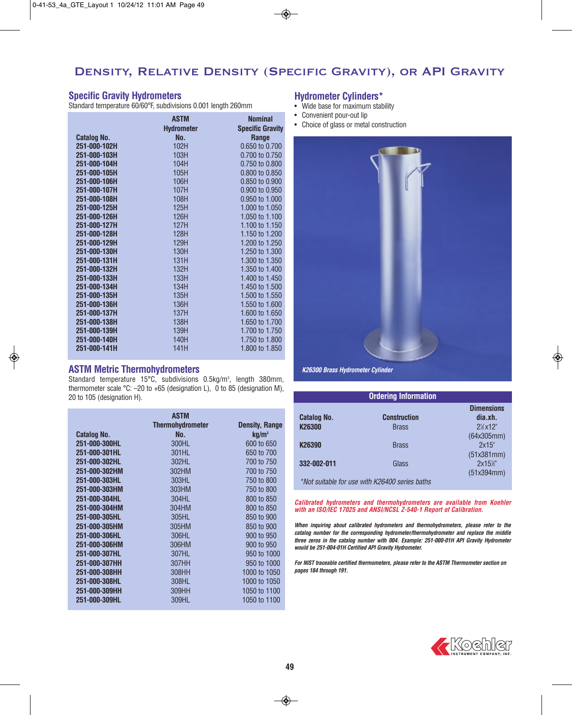# Density, Relative Density (Specific Gravity), or API Gravity

## **Specific Gravity Hydrometers**

Standard temperature 60/60°F, subdivisions 0.001 length 260mm

|                    | <b>ASTM</b>       | <b>Nominal</b>          |
|--------------------|-------------------|-------------------------|
|                    | <b>Hydrometer</b> | <b>Specific Gravity</b> |
| <b>Catalog No.</b> | No.               | Range                   |
| 251-000-102H       | 102H              | 0.650 to 0.700          |
| 251-000-103H       | 103H              | 0.700 to 0.750          |
| 251-000-104H       | 104H              | 0.750 to 0.800          |
| 251-000-105H       | 105H              | 0.800 to 0.850          |
| 251-000-106H       | 106H              | 0.850 to 0.900          |
| 251-000-107H       | 107H              | 0.900 to 0.950          |
| 251-000-108H       | 108H              | 0.950 to 1.000          |
| 251-000-125H       | 125H              | 1.000 to 1.050          |
| 251-000-126H       | 126H              | 1.050 to 1.100          |
| 251-000-127H       | 127H              | 1.100 to 1.150          |
| 251-000-128H       | 128H              | 1.150 to 1.200          |
| 251-000-129H       | 129H              | 1.200 to 1.250          |
| 251-000-130H       | 130H              | 1.250 to 1.300          |
| 251-000-131H       | 131H              | 1.300 to 1.350          |
| 251-000-132H       | 132H              | 1.350 to 1.400          |
| 251-000-133H       | 133H              | 1.400 to 1.450          |
| 251-000-134H       | 134H              | 1.450 to 1.500          |
| 251-000-135H       | 135H              | 1.500 to 1.550          |
| 251-000-136H       | 136H              | 1.550 to 1.600          |
| 251-000-137H       | 137H              | 1.600 to 1.650          |
| 251-000-138H       | 138H              | 1.650 to 1.700          |
| 251-000-139H       | 139H              | 1.700 to 1.750          |
| 251-000-140H       | 140H              | 1.750 to 1.800          |
| 251-000-141H       | 141H              | 1.800 to 1.850          |

#### **ASTM Metric Thermohydrometers**

Standard temperature  $15^{\circ}$ C, subdivisions 0.5kg/m<sup>3</sup>, length 380mm, thermometer scale °C: –20 to +65 (designation L), 0 to 85 (designation M), 20 to 105 (designation H).

|                    | <b>ASTM</b>             |                       |
|--------------------|-------------------------|-----------------------|
|                    | <b>Thermohydrometer</b> | <b>Density, Range</b> |
| <b>Catalog No.</b> | No.                     | $kq/m^3$              |
| 251-000-300HL      | 300HL                   | 600 to 650            |
| 251-000-301HL      | 301HL                   | 650 to 700            |
| 251-000-302HL      | 302HL                   | 700 to 750            |
| 251-000-302HM      | 302HM                   | 700 to 750            |
| 251-000-303HL      | 303HL                   | 750 to 800            |
| 251-000-303HM      | 303HM                   | 750 to 800            |
| 251-000-304HL      | 304HL                   | 800 to 850            |
| 251-000-304HM      | 304HM                   | 800 to 850            |
| 251-000-305HL      | 305HL                   | 850 to 900            |
| 251-000-305HM      | 305HM                   | 850 to 900            |
| 251-000-306HL      | 306HL                   | 900 to 950            |
| 251-000-306HM      | 306HM                   | 900 to 950            |
| 251-000-307HL      | 307HL                   | 950 to 1000           |
| 251-000-307HH      | 307HH                   | 950 to 1000           |
| 251-000-308HH      | 308HH                   | 1000 to 1050          |
| 251-000-308HL      | 308HL                   | 1000 to 1050          |
| 251-000-309HH      | 309HH                   | 1050 to 1100          |
| 251-000-309HL      | 309HL                   | 1050 to 1100          |

### **Hydrometer Cylinders\***

- Wide base for maximum stability
- Convenient pour-out lip
- Choice of glass or metal construction



**K26300 Brass Hydrometer Cylinder**

| <b>Ordering Information</b>                    |                     |                                   |
|------------------------------------------------|---------------------|-----------------------------------|
| <b>Catalog No.</b>                             | <b>Construction</b> | <b>Dimensions</b><br>dia.xh.      |
| K26300                                         | <b>Brass</b>        | $2\frac{1}{2}$ x12"<br>(64x305mm) |
| K26390                                         | <b>Brass</b>        | 2x15"<br>(51x381mm)               |
| 332-002-011                                    | Glass               | $2x15\%$<br>(51x394mm)            |
| *Not suitable for use with K26400 series baths |                     |                                   |

**Calibrated hydrometers and thermohydrometers are available from Koehler with an ISO/IEC 17025 and ANSI/NCSL Z-540-1 Report of Calibration.**

**When inquiring about calibrated hydrometers and thermohydrometers, please refer to the catalog number for the corresponding hydrometer/thermohydrometer and replace the middle three zeros in the catalog number with 004. Example: 251-000-01H API Gravity Hydrometer would be 251-004-01H Certified API Gravity Hydrometer.**

**For NIST traceable certified thermometers, please refer to the ASTM Thermometer section on pages 184 through 191.**